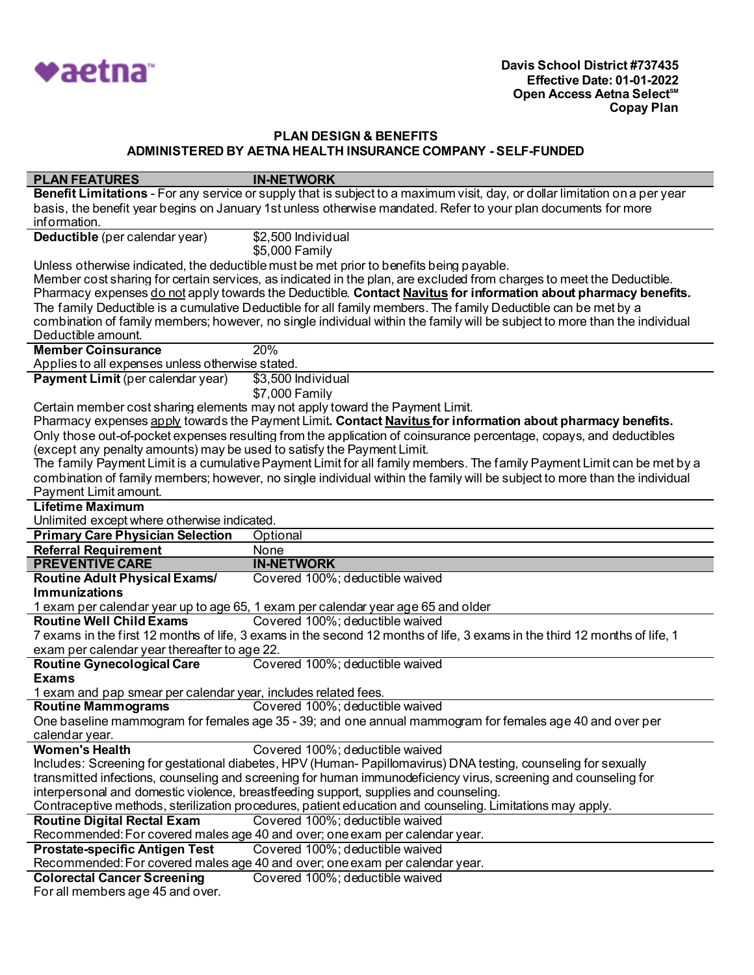

| <b>PLAN FEATURES</b>                                                                   | <b>IN-NETWORK</b>                                                                                                           |
|----------------------------------------------------------------------------------------|-----------------------------------------------------------------------------------------------------------------------------|
|                                                                                        | Benefit Limitations - For any service or supply that is subject to a maximum visit, day, or dollar limitation on a per year |
|                                                                                        | basis, the benefit year begins on January 1st unless otherwise mandated. Refer to your plan documents for more              |
| information.                                                                           |                                                                                                                             |
| Deductible (per calendar year)                                                         | \$2,500 Individual                                                                                                          |
|                                                                                        | \$5,000 Family                                                                                                              |
|                                                                                        | Unless otherwise indicated, the deductible must be met prior to benefits being payable.                                     |
|                                                                                        | Member cost sharing for certain services, as indicated in the plan, are excluded from charges to meet the Deductible.       |
|                                                                                        | Pharmacy expenses do not apply towards the Deductible. Contact Navitus for information about pharmacy benefits.             |
|                                                                                        | The family Deductible is a cumulative Deductible for all family members. The family Deductible can be met by a              |
|                                                                                        | combination of family members; however, no single individual within the family will be subject to more than the individual  |
| Deductible amount.                                                                     |                                                                                                                             |
| <b>Member Coinsurance</b>                                                              | 20%                                                                                                                         |
| Applies to all expenses unless otherwise stated.                                       |                                                                                                                             |
| <b>Payment Limit (per calendar year)</b>                                               | \$3,500 Individual                                                                                                          |
|                                                                                        | \$7,000 Family                                                                                                              |
|                                                                                        | Certain member cost sharing elements may not apply toward the Payment Limit.                                                |
|                                                                                        | Pharmacy expenses apply towards the Payment Limit. Contact Navitus for information about pharmacy benefits.                 |
|                                                                                        | Only those out-of-pocket expenses resulting from the application of coinsurance percentage, copays, and deductibles         |
| (except any penalty amounts) may be used to satisfy the Payment Limit.                 |                                                                                                                             |
|                                                                                        | The family Payment Limit is a cumulative Payment Limit for all family members. The family Payment Limit can be met by a     |
|                                                                                        | combination of family members; however, no single individual within the family will be subject to more than the individual  |
| Payment Limit amount.                                                                  |                                                                                                                             |
| <b>Lifetime Maximum</b>                                                                |                                                                                                                             |
|                                                                                        |                                                                                                                             |
| Unlimited except where otherwise indicated.<br><b>Primary Care Physician Selection</b> | Optional                                                                                                                    |
|                                                                                        |                                                                                                                             |
|                                                                                        |                                                                                                                             |
| <b>Referral Requirement</b>                                                            | None                                                                                                                        |
| <b>PREVENTIVE CARE</b>                                                                 | <b>IN-NETWORK</b>                                                                                                           |
| <b>Routine Adult Physical Exams/</b>                                                   | Covered 100%; deductible waived                                                                                             |
| <b>Immunizations</b>                                                                   |                                                                                                                             |
|                                                                                        | 1 exam per calendar year up to age 65, 1 exam per calendar year age 65 and older                                            |
| <b>Routine Well Child Exams</b>                                                        | Covered 100%; deductible waived                                                                                             |
|                                                                                        | 7 exams in the first 12 months of life, 3 exams in the second 12 months of life, 3 exams in the third 12 months of life, 1  |
| exam per calendar year thereafter to age 22.                                           |                                                                                                                             |
| <b>Routine Gynecological Care</b>                                                      | Covered 100%; deductible waived                                                                                             |
| <b>Exams</b>                                                                           |                                                                                                                             |
| 1 exam and pap smear per calendar year, includes related fees.                         |                                                                                                                             |
| <b>Routine Mammograms</b>                                                              | Covered 100%; deductible waived                                                                                             |
|                                                                                        | One baseline mammogram for females age 35 - 39; and one annual mammogram for females age 40 and over per                    |
| calendar year.                                                                         |                                                                                                                             |
| <b>Women's Health</b>                                                                  | Covered 100%; deductible waived                                                                                             |
|                                                                                        | Includes: Screening for gestational diabetes, HPV (Human-Papillomavirus) DNA testing, counseling for sexually               |
|                                                                                        | transmitted infections, counseling and screening for human immunodeficiency virus, screening and counseling for             |
|                                                                                        | interpersonal and domestic violence, breastfeeding support, supplies and counseling.                                        |
|                                                                                        | Contraceptive methods, sterilization procedures, patient education and counseling. Limitations may apply.                   |
| <b>Routine Digital Rectal Exam</b>                                                     | Covered 100%; deductible waived                                                                                             |
|                                                                                        | Recommended: For covered males age 40 and over; one exam per calendar year.                                                 |
| <b>Prostate-specific Antigen Test</b>                                                  | Covered 100%; deductible waived                                                                                             |
|                                                                                        | Recommended: For covered males age 40 and over; one exam per calendar year.                                                 |
| <b>Colorectal Cancer Screening</b><br>For all members age 45 and over.                 | Covered 100%; deductible waived                                                                                             |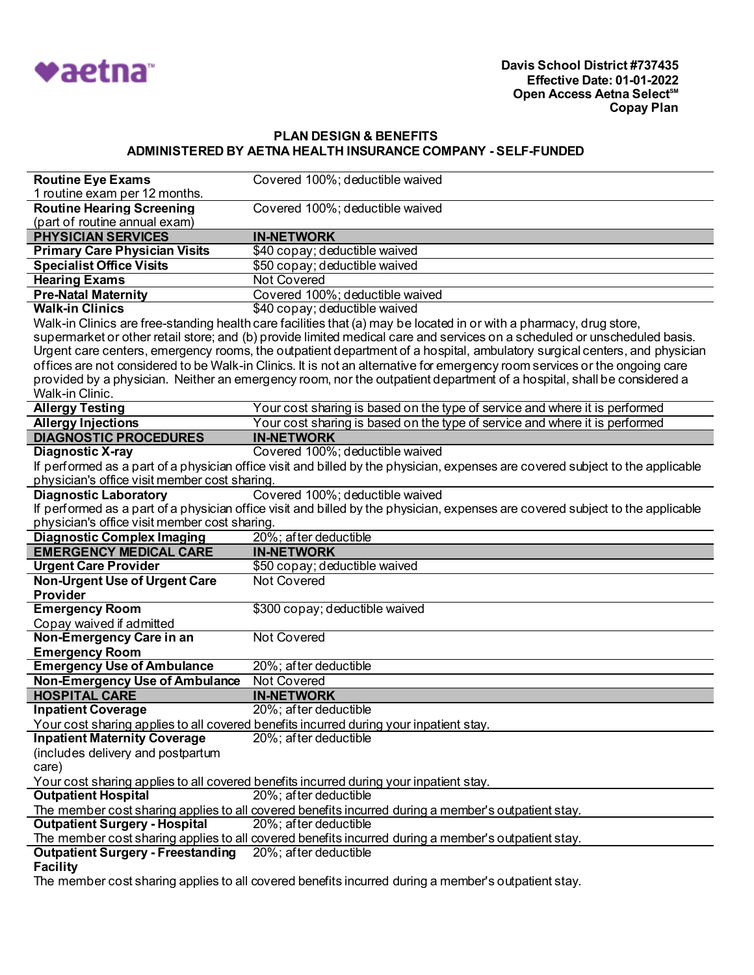

| <b>Routine Eye Exams</b>                                    | Covered 100%; deductible waived                                                                                                |
|-------------------------------------------------------------|--------------------------------------------------------------------------------------------------------------------------------|
| 1 routine exam per 12 months.                               |                                                                                                                                |
| <b>Routine Hearing Screening</b>                            | Covered 100%; deductible waived                                                                                                |
| (part of routine annual exam)                               |                                                                                                                                |
| <b>PHYSICIAN SERVICES</b>                                   | <b>IN-NETWORK</b>                                                                                                              |
| <b>Primary Care Physician Visits</b>                        | \$40 copay; deductible waived                                                                                                  |
| <b>Specialist Office Visits</b>                             | \$50 copay; deductible waived                                                                                                  |
| <b>Hearing Exams</b>                                        | Not Covered                                                                                                                    |
| <b>Pre-Natal Maternity</b>                                  | Covered 100%; deductible waived                                                                                                |
| <b>Walk-in Clinics</b>                                      | \$40 copay; deductible waived                                                                                                  |
|                                                             | Walk-in Clinics are free-standing health care facilities that (a) may be located in or with a pharmacy, drug store,            |
|                                                             | supermarket or other retail store; and (b) provide limited medical care and services on a scheduled or unscheduled basis.      |
|                                                             | Urgent care centers, emergency rooms, the outpatient department of a hospital, ambulatory surgical centers, and physician      |
|                                                             | offices are not considered to be Walk-in Clinics. It is not an alternative for emergency room services or the ongoing care     |
|                                                             | provided by a physician. Neither an emergency room, nor the outpatient department of a hospital, shall be considered a         |
| Walk-in Clinic.                                             |                                                                                                                                |
| <b>Allergy Testing</b>                                      | Your cost sharing is based on the type of service and where it is performed                                                    |
| <b>Allergy Injections</b>                                   | Your cost sharing is based on the type of service and where it is performed                                                    |
| <b>DIAGNOSTIC PROCEDURES</b>                                | <b>IN-NETWORK</b>                                                                                                              |
| Diagnostic X-ray                                            | Covered 100%; deductible waived                                                                                                |
|                                                             | If performed as a part of a physician office visit and billed by the physician, expenses are covered subject to the applicable |
| physician's office visit member cost sharing.               |                                                                                                                                |
| <b>Diagnostic Laboratory</b>                                | Covered 100%; deductible waived                                                                                                |
|                                                             | If performed as a part of a physician office visit and billed by the physician, expenses are covered subject to the applicable |
| physician's office visit member cost sharing.               |                                                                                                                                |
|                                                             |                                                                                                                                |
| <b>Diagnostic Complex Imaging</b>                           | 20%; after deductible                                                                                                          |
| <b>EMERGENCY MEDICAL CARE</b>                               | <b>IN-NETWORK</b>                                                                                                              |
| <b>Urgent Care Provider</b>                                 | \$50 copay; deductible waived                                                                                                  |
| <b>Non-Urgent Use of Urgent Care</b>                        | <b>Not Covered</b>                                                                                                             |
| Provider                                                    |                                                                                                                                |
| <b>Emergency Room</b>                                       | \$300 copay; deductible waived                                                                                                 |
| Copay waived if admitted                                    |                                                                                                                                |
| Non-Emergency Care in an                                    | <b>Not Covered</b>                                                                                                             |
| <b>Emergency Room</b>                                       |                                                                                                                                |
| <b>Emergency Use of Ambulance</b>                           | 20%; after deductible                                                                                                          |
| <b>Non-Emergency Use of Ambulance</b>                       | <b>Not Covered</b>                                                                                                             |
| <b>HOSPITAL CARE</b>                                        | <b>IN-NETWORK</b>                                                                                                              |
| <b>Inpatient Coverage</b>                                   | 20%; after deductible                                                                                                          |
|                                                             | <u>Your cost sharing applies to all covered benefits incurred during your inpatient stay.</u>                                  |
| <b>Inpatient Maternity Coverage</b>                         | 20%; after deductible                                                                                                          |
| (includes delivery and postpartum                           |                                                                                                                                |
| care)                                                       |                                                                                                                                |
|                                                             | Your cost sharing applies to all covered benefits incurred during your inpatient stay.                                         |
| <b>Outpatient Hospital</b>                                  | 20%; after deductible                                                                                                          |
|                                                             | The member cost sharing applies to all covered benefits incurred during a member's outpatient stay.                            |
| <b>Outpatient Surgery - Hospital</b>                        | 20%; after deductible                                                                                                          |
|                                                             | The member cost sharing applies to all covered benefits incurred during a member's outpatient stay.                            |
| <b>Outpatient Surgery - Freestanding</b><br><b>Facility</b> | 20%; after deductible                                                                                                          |

The member cost sharing applies to all covered benefits incurred during a member's outpatient stay.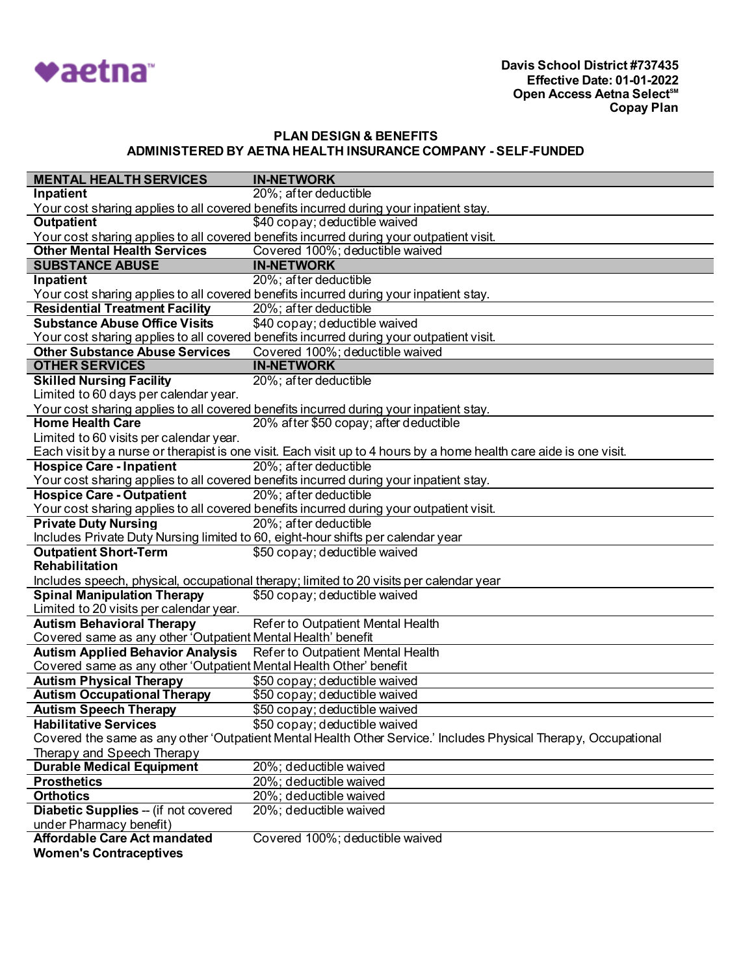

| <b>MENTAL HEALTH SERVICES</b>                                      | <b>IN-NETWORK</b>                                                                                                  |
|--------------------------------------------------------------------|--------------------------------------------------------------------------------------------------------------------|
| <b>Inpatient</b>                                                   | 20%; after deductible                                                                                              |
|                                                                    | Your cost sharing applies to all covered benefits incurred during your inpatient stay.                             |
| <b>Outpatient</b>                                                  | \$40 copay; deductible waived                                                                                      |
|                                                                    | Your cost sharing applies to all covered benefits incurred during your outpatient visit.                           |
| <b>Other Mental Health Services</b>                                | Covered 100%; deductible waived                                                                                    |
| <b>SUBSTANCE ABUSE</b>                                             | <b>IN-NETWORK</b>                                                                                                  |
| Inpatient                                                          | 20%; after deductible                                                                                              |
|                                                                    | Your cost sharing applies to all covered benefits incurred during your inpatient stay.                             |
| <b>Residential Treatment Facility</b>                              | 20%; after deductible                                                                                              |
| <b>Substance Abuse Office Visits</b>                               | \$40 copay; deductible waived                                                                                      |
|                                                                    | Your cost sharing applies to all covered benefits incurred during your outpatient visit.                           |
| <b>Other Substance Abuse Services</b>                              | Covered 100%; deductible waived                                                                                    |
| <b>OTHER SERVICES</b>                                              | <b>IN-NETWORK</b>                                                                                                  |
| <b>Skilled Nursing Facility</b>                                    | 20%; after deductible                                                                                              |
| Limited to 60 days per calendar year.                              |                                                                                                                    |
|                                                                    | Your cost sharing applies to all covered benefits incurred during your inpatient stay.                             |
| <b>Home Health Care</b>                                            | 20% after \$50 copay; after deductible                                                                             |
| Limited to 60 visits per calendar year.                            |                                                                                                                    |
|                                                                    | Each visit by a nurse or therapist is one visit. Each visit up to 4 hours by a home health care aide is one visit. |
| <b>Hospice Care - Inpatient</b>                                    | 20%; after deductible                                                                                              |
|                                                                    | Your cost sharing applies to all covered benefits incurred during your inpatient stay.                             |
| <b>Hospice Care - Outpatient</b>                                   | 20%; after deductible                                                                                              |
|                                                                    | Your cost sharing applies to all covered benefits incurred during your outpatient visit.                           |
| <b>Private Duty Nursing</b>                                        | 20%; after deductible                                                                                              |
|                                                                    | Includes Private Duty Nursing limited to 60, eight-hour shifts per calendar year                                   |
| <b>Outpatient Short-Term</b>                                       | \$50 copay; deductible waived                                                                                      |
| Rehabilitation                                                     |                                                                                                                    |
|                                                                    | Includes speech, physical, occupational therapy; limited to 20 visits per calendar year                            |
| <b>Spinal Manipulation Therapy</b>                                 | \$50 copay; deductible waived                                                                                      |
| Limited to 20 visits per calendar year.                            |                                                                                                                    |
| <b>Autism Behavioral Therapy</b>                                   | Refer to Outpatient Mental Health                                                                                  |
| Covered same as any other 'Outpatient Mental Health' benefit       |                                                                                                                    |
| Autism Applied Behavior Analysis Refer to Outpatient Mental Health |                                                                                                                    |
| Covered same as any other 'Outpatient Mental Health Other' benefit |                                                                                                                    |
| <b>Autism Physical Therapy</b>                                     | \$50 copay; deductible waived                                                                                      |
| <b>Autism Occupational Therapy</b>                                 | \$50 copay; deductible waived                                                                                      |
| <b>Autism Speech Therapy</b>                                       | \$50 copay; deductible waived                                                                                      |
| <b>Habilitative Services</b>                                       | \$50 copay; deductible waived                                                                                      |
|                                                                    | Covered the same as any other 'Outpatient Mental Health Other Service.' Includes Physical Therapy, Occupational    |
| Therapy and Speech Therapy                                         |                                                                                                                    |
| <b>Durable Medical Equipment</b>                                   | 20%; deductible waived                                                                                             |
| <b>Prosthetics</b>                                                 | 20%; deductible waived                                                                                             |
| <b>Orthotics</b>                                                   | 20%; deductible waived                                                                                             |
| Diabetic Supplies -- (if not covered                               | 20%; deductible waived                                                                                             |
| under Pharmacy benefit)                                            |                                                                                                                    |
| <b>Affordable Care Act mandated</b>                                | Covered 100%; deductible waived                                                                                    |
| <b>Women's Contraceptives</b>                                      |                                                                                                                    |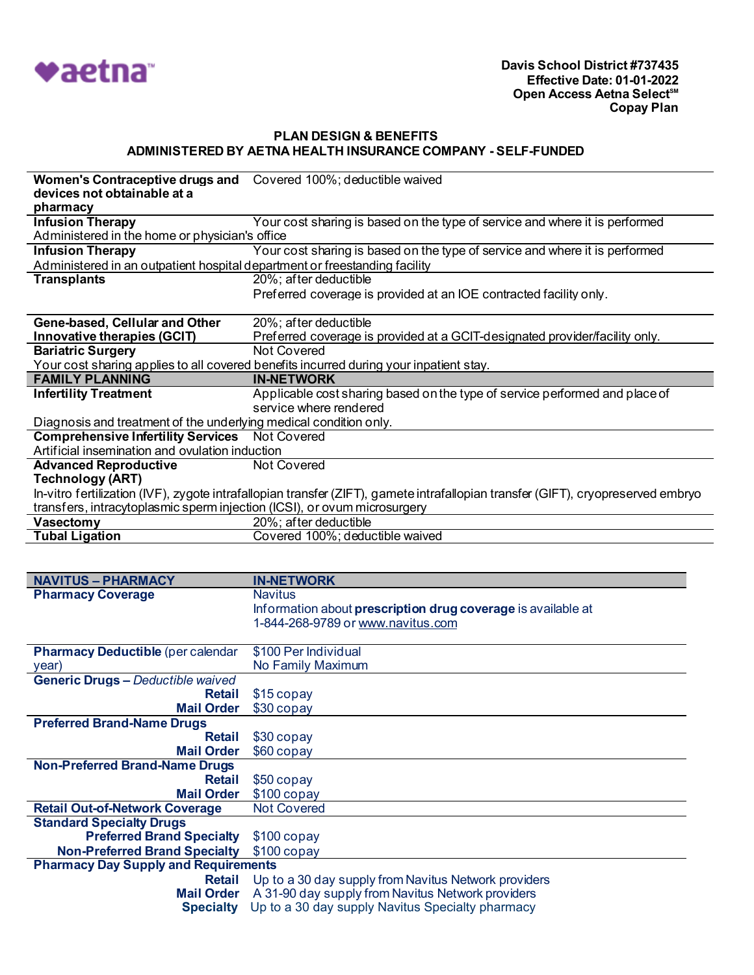

| Women's Contraceptive drugs and                                            | Covered 100%; deductible waived                                                                                                  |
|----------------------------------------------------------------------------|----------------------------------------------------------------------------------------------------------------------------------|
| devices not obtainable at a                                                |                                                                                                                                  |
| pharmacy                                                                   |                                                                                                                                  |
| <b>Infusion Therapy</b>                                                    | Your cost sharing is based on the type of service and where it is performed                                                      |
| Administered in the home or physician's office                             |                                                                                                                                  |
| <b>Infusion Therapy</b>                                                    | Your cost sharing is based on the type of service and where it is performed                                                      |
| Administered in an outpatient hospital department or freestanding facility |                                                                                                                                  |
| <b>Transplants</b>                                                         | 20%; after deductible                                                                                                            |
|                                                                            | Preferred coverage is provided at an IOE contracted facility only.                                                               |
| Gene-based, Cellular and Other                                             | 20%; after deductible                                                                                                            |
| Innovative therapies (GCIT)                                                | Preferred coverage is provided at a GCIT-designated provider/facility only.                                                      |
| <b>Bariatric Surgery</b>                                                   | <b>Not Covered</b>                                                                                                               |
|                                                                            | Your cost sharing applies to all covered benefits incurred during your inpatient stay.                                           |
| <b>FAMILY PLANNING</b>                                                     | <b>IN-NETWORK</b>                                                                                                                |
| <b>Infertility Treatment</b>                                               | Applicable cost sharing based on the type of service performed and place of                                                      |
|                                                                            | service where rendered                                                                                                           |
| Diagnosis and treatment of the underlying medical condition only.          |                                                                                                                                  |
| <b>Comprehensive Infertility Services</b>                                  | <b>Not Covered</b>                                                                                                               |
| Artificial insemination and ovulation induction                            |                                                                                                                                  |
| <b>Advanced Reproductive</b>                                               | <b>Not Covered</b>                                                                                                               |
| <b>Technology (ART)</b>                                                    |                                                                                                                                  |
|                                                                            | In-vitro fertilization (IVF), zygote intrafallopian transfer (ZIFT), gamete intrafallopian transfer (GIFT), cryopreserved embryo |
| transfers, intracytoplasmic sperm injection (ICSI), or ovum microsurgery   |                                                                                                                                  |
|                                                                            |                                                                                                                                  |
| Vasectomy                                                                  | 20%; after deductible                                                                                                            |
| <b>Tubal Ligation</b>                                                      | Covered 100%; deductible waived                                                                                                  |
|                                                                            |                                                                                                                                  |
|                                                                            |                                                                                                                                  |
| <b>NAVITUS - PHARMACY</b>                                                  | <b>IN-NETWORK</b>                                                                                                                |
| <b>Pharmacy Coverage</b>                                                   | <b>Navitus</b>                                                                                                                   |
|                                                                            | Information about prescription drug coverage is available at                                                                     |
|                                                                            | 1-844-268-9789 or www.navitus.com                                                                                                |
|                                                                            |                                                                                                                                  |
| <b>Pharmacy Deductible (per calendar</b>                                   | \$100 Per Individual                                                                                                             |
| year)                                                                      | No Family Maximum                                                                                                                |
| <b>Generic Drugs - Deductible waived</b>                                   |                                                                                                                                  |
| <b>Retail</b>                                                              | \$15 copay                                                                                                                       |
| <b>Mail Order</b>                                                          | \$30 copay                                                                                                                       |
| <b>Preferred Brand-Name Drugs</b><br><b>Retail</b>                         |                                                                                                                                  |
| <b>Mail Order</b>                                                          | \$30 copay                                                                                                                       |
| <b>Non-Preferred Brand-Name Drugs</b>                                      | \$60 copay                                                                                                                       |
| <b>Retail</b>                                                              | \$50 copay                                                                                                                       |
| <b>Mail Order</b>                                                          |                                                                                                                                  |
| <b>Retail Out-of-Network Coverage</b>                                      | $$100$ copay<br><b>Not Covered</b>                                                                                               |
| <b>Standard Specialty Drugs</b>                                            |                                                                                                                                  |
| <b>Preferred Brand Specialty</b>                                           | $$100$ copay                                                                                                                     |
| <b>Non-Preferred Brand Specialty</b>                                       | $$100$ copay                                                                                                                     |

**Retail** Up to a 30 day supply from Navitus Network providers **Mail Order** A 31-90 day supply from Navitus Network providers **Specialty** Up to a 30 day supply Navitus Specialty pharmacy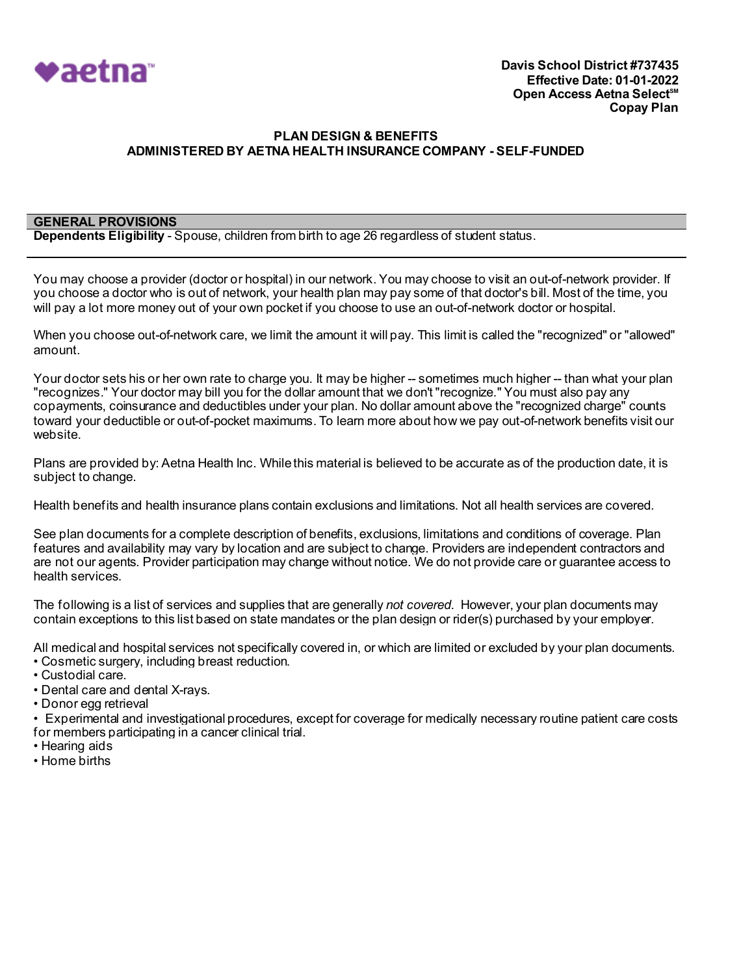

#### **GENERAL PROVISIONS**

**Dependents Eligibility** - Spouse, children from birth to age 26 regardless of student status.

You may choose a provider (doctor or hospital) in our network. You may choose to visit an out-of-network provider. If you choose a doctor who is out of network, your health plan may pay some of that doctor's bill. Most of the time, you will pay a lot more money out of your own pocket if you choose to use an out-of-network doctor or hospital.

When you choose out-of-network care, we limit the amount it will pay. This limit is called the "recognized" or "allowed" amount.

Your doctor sets his or her own rate to charge you. It may be higher -- sometimes much higher -- than what your plan "recognizes." Your doctor may bill you for the dollar amount that we don't "recognize." You must also pay any copayments, coinsurance and deductibles under your plan. No dollar amount above the "recognized charge" counts toward your deductible or out-of-pocket maximums. To learn more about how we pay out-of-network benefits visit our website.

Plans are provided by: Aetna Health Inc. While this material is believed to be accurate as of the production date, it is subject to change.

Health benefits and health insurance plans contain exclusions and limitations. Not all health services are covered.

See plan documents for a complete description of benefits, exclusions, limitations and conditions of coverage. Plan features and availability may vary by location and are subject to change. Providers are independent contractors and are not our agents. Provider participation may change without notice. We do not provide care or guarantee access to health services.

The following is a list of services and supplies that are generally *not covered*. However, your plan documents may contain exceptions to this list based on state mandates or the plan design or rider(s) purchased by your employer.

All medical and hospital services not specifically covered in, or which are limited or excluded by your plan documents.

- Cosmetic surgery, including breast reduction.
- Custodial care.
- Dental care and dental X-rays.
- Donor egg retrieval

• Experimental and investigational procedures, except for coverage for medically necessary routine patient care costs for members participating in a cancer clinical trial.

- Hearing aids
- Home births